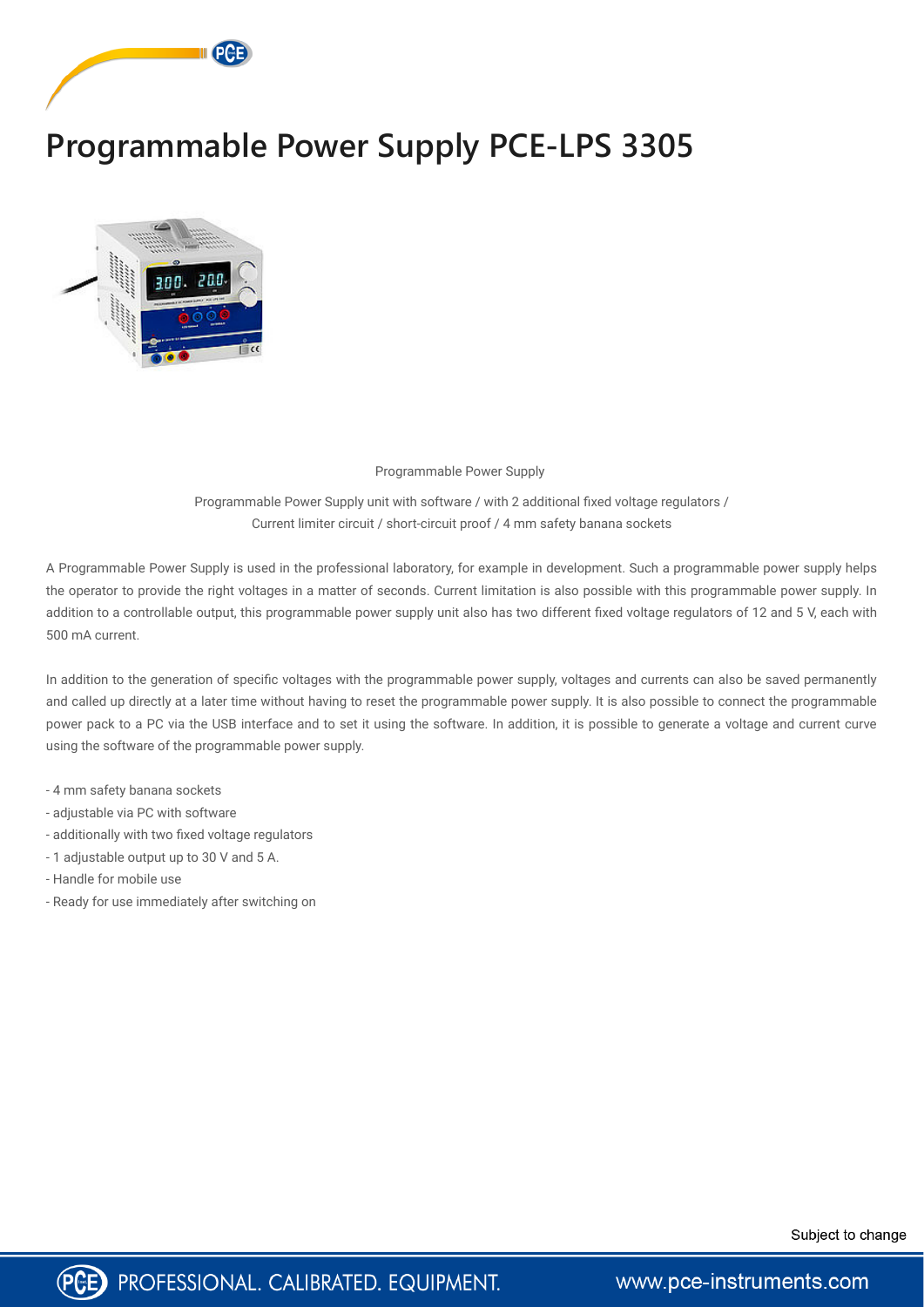

## **Programmable Power Supply PCE-LPS 3305**



## Programmable Power Supply

Programmable Power Supply unit with software / with 2 additional fixed voltage regulators / Current limiter circuit / short-circuit proof / 4 mm safety banana sockets

A Programmable Power Supply is used in the professional laboratory, for example in development. Such a programmable power supply helps the operator to provide the right voltages in a matter of seconds. Current limitation is also possible with this programmable power supply. In addition to a controllable output, this programmable power supply unit also has two different fixed voltage regulators of 12 and 5 V, each with 500 mA current.

In addition to the generation of specific voltages with the programmable power supply, voltages and currents can also be saved permanently and called up directly at a later time without having to reset the programmable power supply. It is also possible to connect the programmable power pack to a PC via the USB interface and to set it using the software. In addition, it is possible to generate a voltage and current curve using the software of the programmable power supply.

- 4 mm safety banana sockets
- adjustable via PC with software
- additionally with two fixed voltage regulators
- 1 adjustable output up to 30 V and 5 A.
- Handle for mobile use
- Ready for use immediately after switching on





www.pce-instruments.com